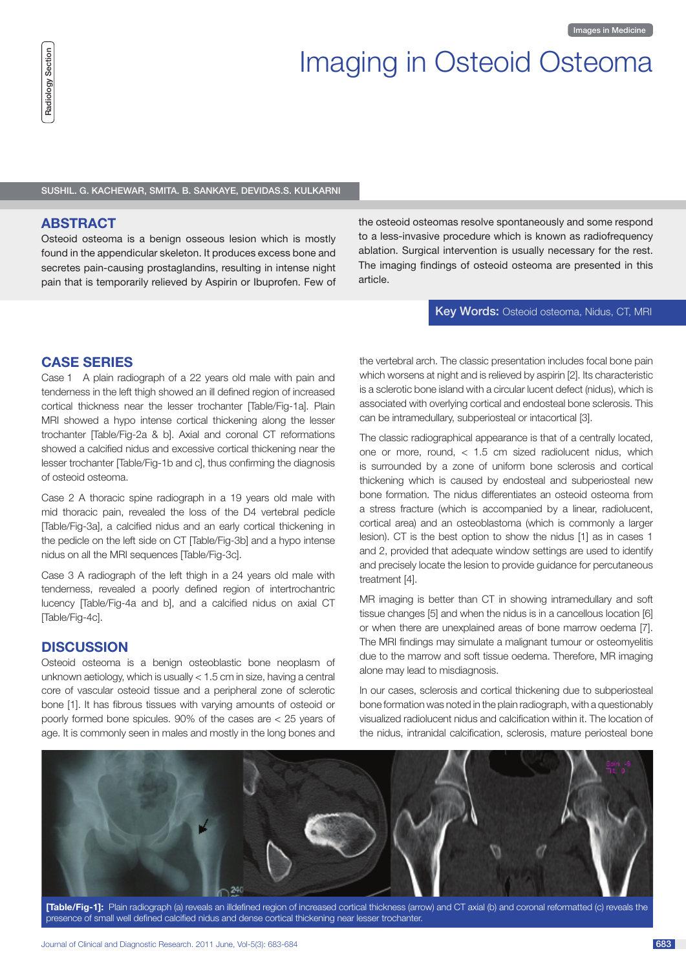# Imaging in Osteoid Osteoma

Sushil. G. Kachewar, Smita. B. Sankaye, Devidas.S. Kulkarni

# **Abstract**

Osteoid osteoma is a benign osseous lesion which is mostly found in the appendicular skeleton. It produces excess bone and secretes pain-causing prostaglandins, resulting in intense night pain that is temporarily relieved by Aspirin or Ibuprofen. Few of the osteoid osteomas resolve spontaneously and some respond to a less-invasive procedure which is known as radiofrequency ablation. Surgical intervention is usually necessary for the rest. The imaging findings of osteoid osteoma are presented in this article.

#### Key Words: Osteoid osteoma, Nidus, CT, MRI

# **CASE SERIES**

Case 1 A plain radiograph of a 22 years old male with pain and tenderness in the left thigh showed an ill defined region of increased cortical thickness near the lesser trochanter [Table/Fig-1a]. Plain MRI showed a hypo intense cortical thickening along the lesser trochanter [Table/Fig-2a & b]. Axial and coronal CT reformations showed a calcified nidus and excessive cortical thickening near the lesser trochanter [Table/Fig-1b and c], thus confirming the diagnosis of osteoid osteoma.

Case 2 A thoracic spine radiograph in a 19 years old male with mid thoracic pain, revealed the loss of the D4 vertebral pedicle [Table/Fig-3a], a calcified nidus and an early cortical thickening in the pedicle on the left side on CT [Table/Fig-3b] and a hypo intense nidus on all the MRI sequences [Table/Fig-3c].

Case 3 A radiograph of the left thigh in a 24 years old male with tenderness, revealed a poorly defined region of intertrochantric lucency [Table/Fig-4a and b], and a calcified nidus on axial CT [Table/Fig-4c].

# **DISCUSSION**

Osteoid osteoma is a benign osteoblastic bone neoplasm of unknown aetiology, which is usually < 1.5 cm in size, having a central core of vascular osteoid tissue and a peripheral zone of sclerotic bone [1]. It has fibrous tissues with varying amounts of osteoid or poorly formed bone spicules. 90% of the cases are < 25 years of age. It is commonly seen in males and mostly in the long bones and the vertebral arch. The classic presentation includes focal bone pain which worsens at night and is relieved by aspirin [2]. Its characteristic is a sclerotic bone island with a circular lucent defect (nidus), which is associated with overlying cortical and endosteal bone sclerosis. This can be intramedullary, subperiosteal or intacortical [3].

The classic radiographical appearance is that of a centrally located, one or more, round, < 1.5 cm sized radiolucent nidus, which is surrounded by a zone of uniform bone sclerosis and cortical thickening which is caused by endosteal and subperiosteal new bone formation. The nidus differentiates an osteoid osteoma from a stress fracture (which is accompanied by a linear, radiolucent, cortical area) and an osteoblastoma (which is commonly a larger lesion). CT is the best option to show the nidus [1] as in cases 1 and 2, provided that adequate window settings are used to identify and precisely locate the lesion to provide guidance for percutaneous treatment [4].

MR imaging is better than CT in showing intramedullary and soft tissue changes [5] and when the nidus is in a cancellous location [6] or when there are unexplained areas of bone marrow oedema [7]. The MRI findings may simulate a malignant tumour or osteomyelitis due to the marrow and soft tissue oedema. Therefore, MR imaging alone may lead to misdiagnosis.

In our cases, sclerosis and cortical thickening due to subperiosteal bone formation was noted in the plain radiograph, with a questionably visualized radiolucent nidus and calcification within it. The location of the nidus, intranidal calcification, sclerosis, mature periosteal bone



**[Table/Fig-1]:** Plain radiograph (a) reveals an illdefined region of increased cortical thickness (arrow) and CT axial (b) and coronal reformatted (c) reveals the presence of small well defined calcified nidus and dense cortical thickening near lesser trochanter.